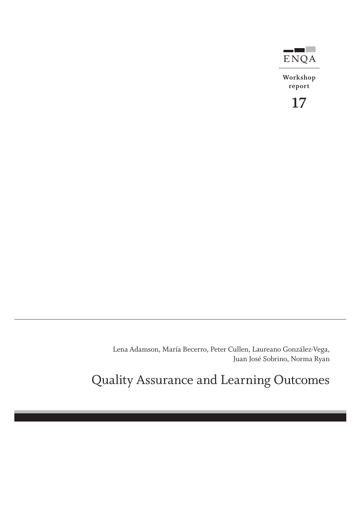

**Workshop report**



Lena Adamson, María Becerro, Peter Cullen, Laureano González-Vega, Juan José Sobrino, Norma Ryan

Quality Assurance and Learning Outcomes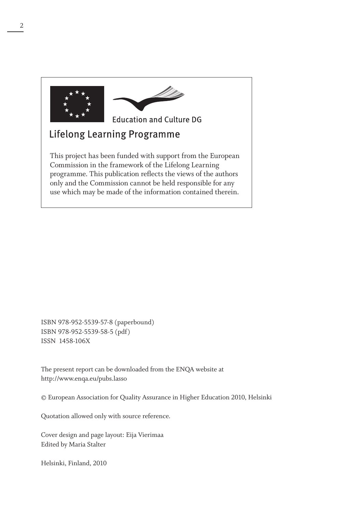

## **Lifelong Learning Programme**

This project has been funded with support from the European Commission in the framework of the Lifelong Learning programme. This publication reflects the views of the authors only and the Commission cannot be held responsible for any use which may be made of the information contained therein.

ISBN 978-952-5539-57-8 (paperbound) ISBN 978-952-5539-58-5 (pdf) ISSN 1458-106X

The present report can be downloaded from the ENQA website at http://www.enqa.eu/pubs.lasso

© European Association for Quality Assurance in Higher Education 2010, Helsinki

Quotation allowed only with source reference.

Cover design and page layout: Eija Vierimaa Edited by Maria Stalter

Helsinki, Finland, 2010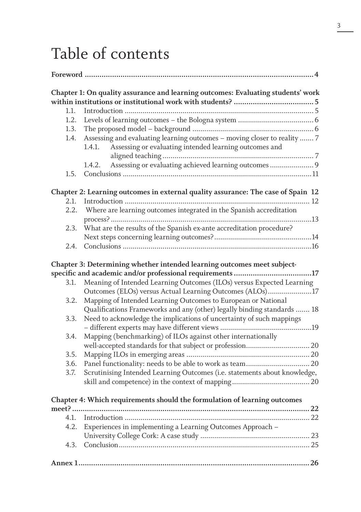# Table of contents

|       | Chapter 1: On quality assurance and learning outcomes: Evaluating students' work |
|-------|----------------------------------------------------------------------------------|
| 1.1.  |                                                                                  |
| 1.2.  |                                                                                  |
| 1.3.  |                                                                                  |
| 1.4.  | Assessing and evaluating learning outcomes - moving closer to reality  7         |
|       | 1.4.1.<br>Assessing or evaluating intended learning outcomes and                 |
|       |                                                                                  |
|       | Assessing or evaluating achieved learning outcomes 9<br>1.4.2.                   |
| 1.5.  |                                                                                  |
|       |                                                                                  |
|       | Chapter 2: Learning outcomes in external quality assurance: The case of Spain 12 |
| 2.1.  |                                                                                  |
| 2.2.  | Where are learning outcomes integrated in the Spanish accreditation              |
| 2.3.  | What are the results of the Spanish ex-ante accreditation procedure?             |
|       |                                                                                  |
|       |                                                                                  |
| 2.4.  |                                                                                  |
|       | Chapter 3: Determining whether intended learning outcomes meet subject-          |
|       | specific and academic and/or professional requirements 17                        |
| 3.1.  | Meaning of Intended Learning Outcomes (ILOs) versus Expected Learning            |
|       | Outcomes (ELOs) versus Actual Learning Outcomes (ALOs)17                         |
| 3.2.  | Mapping of Intended Learning Outcomes to European or National                    |
|       | Qualifications Frameworks and any (other) legally binding standards  18          |
|       |                                                                                  |
| 3.3.  | Need to acknowledge the implications of uncertainty of such mappings             |
|       |                                                                                  |
| 3.4.  | Mapping (benchmarking) of ILOs against other internationally                     |
|       | well-accepted standards for that subject or profession 20                        |
| 3.5.  |                                                                                  |
| 3.6.  |                                                                                  |
| 3.7.  | Scrutinising Intended Learning Outcomes (i.e. statements about knowledge,        |
|       |                                                                                  |
|       |                                                                                  |
|       | Chapter 4: Which requirements should the formulation of learning outcomes        |
| meet? | $\sqrt{22}$                                                                      |
| 4.1.  |                                                                                  |
| 4.2.  | Experiences in implementing a Learning Outcomes Approach -                       |
|       |                                                                                  |
| 4.3.  |                                                                                  |
|       |                                                                                  |
|       |                                                                                  |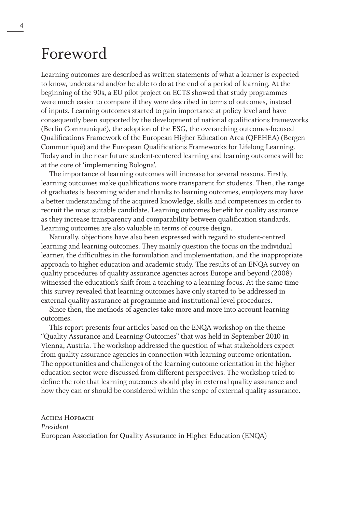## Foreword

Learning outcomes are described as written statements of what a learner is expected to know, understand and/or be able to do at the end of a period of learning. At the beginning of the 90s, a EU pilot project on ECTS showed that study programmes were much easier to compare if they were described in terms of outcomes, instead of inputs. Learning outcomes started to gain importance at policy level and have consequently been supported by the development of national qualifications frameworks (Berlin Communiqué), the adoption of the ESG, the overarching outcomes-focused Qualifications Framework of the European Higher Education Area (QFEHEA) (Bergen Communiqué) and the European Qualifications Frameworks for Lifelong Learning. Today and in the near future student-centered learning and learning outcomes will be at the core of 'implementing Bologna'.

The importance of learning outcomes will increase for several reasons. Firstly, learning outcomes make qualifications more transparent for students. Then, the range of graduates is becoming wider and thanks to learning outcomes, employers may have a better understanding of the acquired knowledge, skills and competences in order to recruit the most suitable candidate. Learning outcomes benefit for quality assurance as they increase transparency and comparability between qualification standards. Learning outcomes are also valuable in terms of course design.

Naturally, objections have also been expressed with regard to student-centred learning and learning outcomes. They mainly question the focus on the individual learner, the difficulties in the formulation and implementation, and the inappropriate approach to higher education and academic study. The results of an ENQA survey on quality procedures of quality assurance agencies across Europe and beyond (2008) witnessed the education's shift from a teaching to a learning focus. At the same time this survey revealed that learning outcomes have only started to be addressed in external quality assurance at programme and institutional level procedures.

Since then, the methods of agencies take more and more into account learning outcomes.

This report presents four articles based on the ENQA workshop on the theme "Quality Assurance and Learning Outcomes" that was held in September 2010 in Vienna, Austria. The workshop addressed the question of what stakeholders expect from quality assurance agencies in connection with learning outcome orientation. The opportunities and challenges of the learning outcome orientation in the higher education sector were discussed from different perspectives. The workshop tried to define the role that learning outcomes should play in external quality assurance and how they can or should be considered within the scope of external quality assurance.

ACHIM HOPBACH *President* European Association for Quality Assurance in Higher Education (ENQA)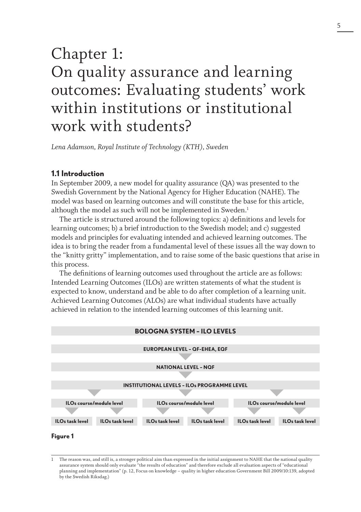## Chapter 1: On quality assurance and learning outcomes: Evaluating students' work within institutions or institutional work with students?

*Lena Adamson, Royal Institute of Technology (KTH), Sweden*

#### **1.1 Introduction**

In September 2009, a new model for quality assurance (QA) was presented to the Swedish Government by the National Agency for Higher Education (NAHE). The model was based on learning outcomes and will constitute the base for this article, although the model as such will not be implemented in Sweden.<sup>1</sup>

The article is structured around the following topics: a) definitions and levels for learning outcomes; b) a brief introduction to the Swedish model; and c) suggested models and principles for evaluating intended and achieved learning outcomes. The idea is to bring the reader from a fundamental level of these issues all the way down to the "knitty gritty" implementation, and to raise some of the basic questions that arise in this process.

The definitions of learning outcomes used throughout the article are as follows: Intended Learning Outcomes (ILOs) are written statements of what the student is expected to know, understand and be able to do after completion of a learning unit. Achieved Learning Outcomes (ALOs) are what individual students have actually achieved in relation to the intended learning outcomes of this learning unit.



**Figure 1** 

<sup>1</sup> The reason was, and still is, a stronger political aim than expressed in the initial assignment to NAHE that the national quality assurance system should only evaluate "the results of education" and therefore exclude all evaluation aspects of "educational planning and implementation" (p. 12, Focus on knowledge – quality in higher education Government Bill 2009/10:139, adopted by the Swedish Riksdag.)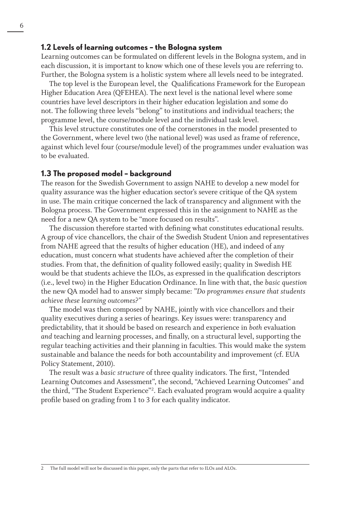#### **1.2 Levels of learning outcomes – the Bologna system**

Learning outcomes can be formulated on different levels in the Bologna system, and in each discussion, it is important to know which one of these levels you are referring to. Further, the Bologna system is a holistic system where all levels need to be integrated.

The top level is the European level, the Qualifications Framework for the European Higher Education Area (QFEHEA). The next level is the national level where some countries have level descriptors in their higher education legislation and some do not. The following three levels "belong" to institutions and individual teachers; the programme level, the course/module level and the individual task level.

This level structure constitutes one of the cornerstones in the model presented to the Government, where level two (the national level) was used as frame of reference, against which level four (course/module level) of the programmes under evaluation was to be evaluated.

#### **1.3 The proposed model – background**

The reason for the Swedish Government to assign NAHE to develop a new model for quality assurance was the higher education sector's severe critique of the QA system in use. The main critique concerned the lack of transparency and alignment with the Bologna process. The Government expressed this in the assignment to NAHE as the need for a new QA system to be "more focused on results".

The discussion therefore started with defining what constitutes educational results. A group of vice chancellors, the chair of the Swedish Student Union and representatives from NAHE agreed that the results of higher education (HE), and indeed of any education, must concern what students have achieved after the completion of their studies. From that, the definition of quality followed easily; quality in Swedish HE would be that students achieve the ILOs, as expressed in the qualification descriptors (i.e., level two) in the Higher Education Ordinance. In line with that, the *basic question* the new QA model had to answer simply became: "*Do programmes ensure that students achieve these learning outcomes?*"

The model was then composed by NAHE, jointly with vice chancellors and their quality executives during a series of hearings. Key issues were: transparency and predictability, that it should be based on research and experience in *both* evaluation *and* teaching and learning processes, and finally, on a structural level, supporting the regular teaching activities and their planning in faculties. This would make the system sustainable and balance the needs for both accountability and improvement (cf. EUA Policy Statement, 2010).

The result was a *basic structure* of three quality indicators. The first, "Intended Learning Outcomes and Assessment", the second, "Achieved Learning Outcomes" and the third, "The Student Experience"2 . Each evaluated program would acquire a quality profile based on grading from 1 to 3 for each quality indicator.

<sup>2</sup> The full model will not be discussed in this paper, only the parts that refer to ILOs and ALOs.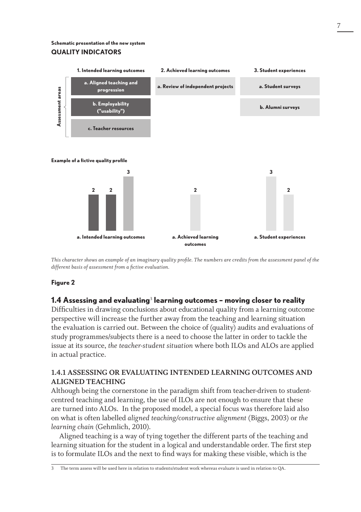#### **Schematic presentation of the new system quality indicators**



*This character shows an example of an imaginary quality profile. The numbers are credits from the assessment panel of the different basis of assessment from a fictive evaluation.*

#### **Figure 2**

#### **1.4 Assessing and evaluating**<sup>3</sup>  **learning outcomes – moving closer to reality**

Difficulties in drawing conclusions about educational quality from a learning outcome perspective will increase the further away from the teaching and learning situation the evaluation is carried out. Between the choice of (quality) audits and evaluations of study programmes/subjects there is a need to choose the latter in order to tackle the issue at its source, *the teacher-student situation* where both ILOs and ALOs are applied in actual practice.

#### **1.4.1 Assessing or evaluating intended learning outcomes and aligned teaching**

Although being the cornerstone in the paradigm shift from teacher-driven to studentcentred teaching and learning, the use of ILOs are not enough to ensure that these are turned into ALOs. In the proposed model, a special focus was therefore laid also on what is often labelled *aligned teaching/constructive alignment* (Biggs, 2003) or *the learning chain* (Gehmlich, 2010).

Aligned teaching is a way of tying together the different parts of the teaching and learning situation for the student in a logical and understandable order. The first step is to formulate ILOs and the next to find ways for making these visible, which is the

3 The term assess will be used here in relation to students/student work whereas evaluate is used in relation to QA.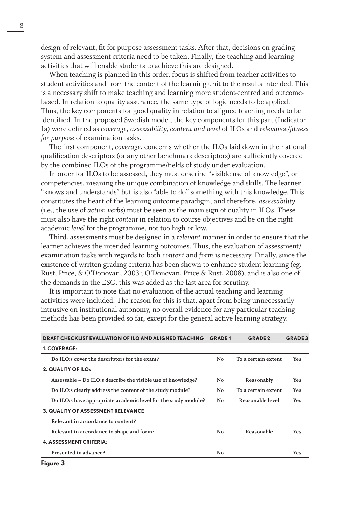design of relevant, fit-for-purpose assessment tasks. After that, decisions on grading system and assessment criteria need to be taken. Finally, the teaching and learning activities that will enable students to achieve this are designed.

When teaching is planned in this order, focus is shifted from teacher activities to student activities and from the content of the learning unit to the results intended. This is a necessary shift to make teaching and learning more student-centred and outcomebased. In relation to quality assurance, the same type of logic needs to be applied. Thus, the key components for good quality in relation to aligned teaching needs to be identified. In the proposed Swedish model, the key components for this part (Indicator 1a) were defined as *coverage*, *assessability, content and level* of ILOs and *relevance/fitness for purpose* of examination tasks.

The first component, *coverage*, concerns whether the ILOs laid down in the national qualification descriptors (or any other benchmark descriptors) are sufficiently covered by the combined ILOs of the programme/fields of study under evaluation.

In order for ILOs to be assessed, they must describe "visible use of knowledge", or competencies, meaning the unique combination of knowledge and skills. The learner "knows and understands" but is also "able to do" something with this knowledge. This constitutes the heart of the learning outcome paradigm, and therefore, *assessability* (i.e., the use of *action verbs*) must be seen as the main sign of quality in ILOs. These must also have the right *content* in relation to course objectives and be on the right academic *level* for the programme, not too high *or* low.

Third, assessments must be designed in a *relevant* manner in order to ensure that the learner achieves the intended learning outcomes. Thus, the evaluation of assessment/ examination tasks with regards to both *content* and *form* is necessary. Finally, since the existence of written grading criteria has been shown to enhance student learning (eg. Rust, Price, & O'Donovan, 2003 ; O'Donovan, Price & Rust, 2008), and is also one of the demands in the ESG, this was added as the last area for scrutiny.

It is important to note that no evaluation of the actual teaching and learning activities were included. The reason for this is that, apart from being unnecessarily intrusive on institutional autonomy, no overall evidence for any particular teaching methods has been provided so far, except for the general active learning strategy.

| <b>DRAFT CHECKLIST EVALUATION OF ILO AND ALIGNED TEACHING</b>  | <b>GRADE1</b> | <b>GRADE 2</b>      | <b>GRADE 3</b> |
|----------------------------------------------------------------|---------------|---------------------|----------------|
| 1. COVERAGE:                                                   |               |                     |                |
| Do ILO:s cover the descriptors for the exam?                   | No            | To a certain extent | Yes            |
| 2. QUALITY OF ILOs                                             |               |                     |                |
| Assessable – Do ILO:s describe the visible use of knowledge?   | No            | Reasonably          | Yes            |
| Do ILO:s clearly address the content of the study module?      | No            | To a certain extent | Yes            |
| Do ILO:s have appropriate academic level for the study module? | No            | Reasonable level    | Yes            |
| <b>3. QUALITY OF ASSESSMENT RELEVANCE</b>                      |               |                     |                |
| Relevant in accordance to content?                             |               |                     |                |
| Relevant in accordance to shape and form?                      | No            | Reasonable          | Yes            |
| <b>4. ASSESSMENT CRITERIA:</b>                                 |               |                     |                |
| Presented in advance?                                          | No            |                     | <b>Yes</b>     |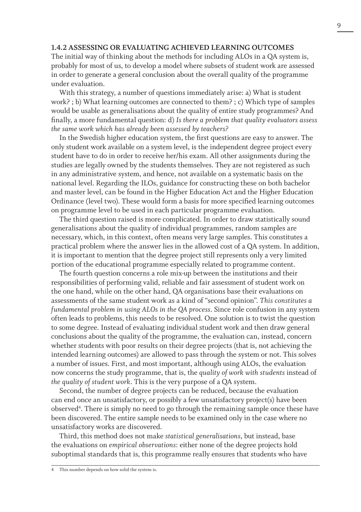#### **1.4.2 Assessing or evaluating achieved learning outcomes**

The initial way of thinking about the methods for including ALOs in a QA system is, probably for most of us, to develop a model where subsets of student work are assessed in order to generate a general conclusion about the overall quality of the programme under evaluation.

With this strategy, a number of questions immediately arise: a) What is student work? ; b) What learning outcomes are connected to them? ; c) Which type of samples would be usable as generalisations about the quality of entire study programmes? And finally, a more fundamental question: d) *Is there a problem that quality evaluators assess the same work which has already been assessed by teachers?* 

In the Swedish higher education system, the first questions are easy to answer. The only student work available on a system level, is the independent degree project every student have to do in order to receive her/his exam. All other assignments during the studies are legally owned by the students themselves. They are not registered as such in any administrative system, and hence, not available on a systematic basis on the national level. Regarding the ILOs, guidance for constructing these on both bachelor and master level, can be found in the Higher Education Act and the Higher Education Ordinance (level two). These would form a basis for more specified learning outcomes on programme level to be used in each particular programme evaluation.

The third question raised is more complicated. In order to draw statistically sound generalisations about the quality of individual programmes, random samples are necessary, which, in this context, often means very large samples. This constitutes a practical problem where the answer lies in the allowed cost of a QA system. In addition, it is important to mention that the degree project still represents only a very limited portion of the educational programme especially related to programme content.

The fourth question concerns a role mix-up between the institutions and their responsibilities of performing valid, reliable and fair assessment of student work on the one hand, while on the other hand, QA organisations base their evaluations on assessments of the same student work as a kind of "second opinion". *This constitutes a fundamental problem in using ALOs in the QA process*. Since role confusion in any system often leads to problems, this needs to be resolved. One solution is to twist the question to some degree. Instead of evaluating individual student work and then draw general conclusions about the quality of the programme, the evaluation can, instead, concern whether students with poor results on their degree projects (that is, not achieving the intended learning outcomes) are allowed to pass through the system or not. This solves a number of issues. First, and most important, although using ALOs, the evaluation now concerns the study programme, that is, the *quality of work with students* instead of *the quality of student work*. This is the very purpose of a QA system.

Second, the number of degree projects can be reduced, because the evaluation can end once an unsatisfactory, or possibly a few unsatisfactory project(s) have been observed<sup>4</sup>. There is simply no need to go through the remaining sample once these have been discovered. The entire sample needs to be examined only in the case where no unsatisfactory works are discovered.

Third, this method does not make *statistical generalisations*, but instead, base the evaluations on *empirical observations*: either none of the degree projects hold suboptimal standards that is, this programme really ensures that students who have

<sup>4</sup> This number depends on how solid the system is.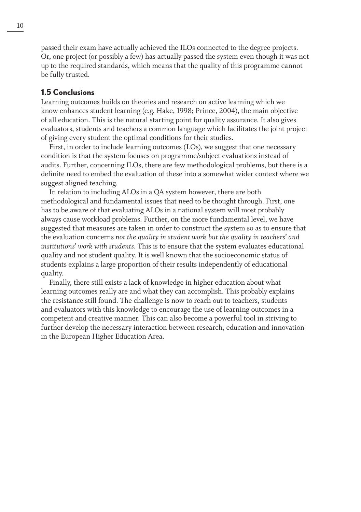passed their exam have actually achieved the ILOs connected to the degree projects. Or, one project (or possibly a few) has actually passed the system even though it was not up to the required standards, which means that the quality of this programme cannot be fully trusted.

#### **1.5 Conclusions**

Learning outcomes builds on theories and research on active learning which we know enhances student learning (e.g. Hake, 1998; Prince, 2004), the main objective of all education. This is the natural starting point for quality assurance. It also gives evaluators, students and teachers a common language which facilitates the joint project of giving every student the optimal conditions for their studies.

First, in order to include learning outcomes (LOs), we suggest that one necessary condition is that the system focuses on programme/subject evaluations instead of audits. Further, concerning ILOs, there are few methodological problems, but there is a definite need to embed the evaluation of these into a somewhat wider context where we suggest aligned teaching.

In relation to including ALOs in a QA system however, there are both methodological and fundamental issues that need to be thought through. First, one has to be aware of that evaluating ALOs in a national system will most probably always cause workload problems. Further, on the more fundamental level, we have suggested that measures are taken in order to construct the system so as to ensure that the evaluation concerns *not the quality in student work but the quality in teachers' and institutions' work with students*. This is to ensure that the system evaluates educational quality and not student quality. It is well known that the socioeconomic status of students explains a large proportion of their results independently of educational quality.

Finally, there still exists a lack of knowledge in higher education about what learning outcomes really are and what they can accomplish. This probably explains the resistance still found. The challenge is now to reach out to teachers, students and evaluators with this knowledge to encourage the use of learning outcomes in a competent and creative manner. This can also become a powerful tool in striving to further develop the necessary interaction between research, education and innovation in the European Higher Education Area.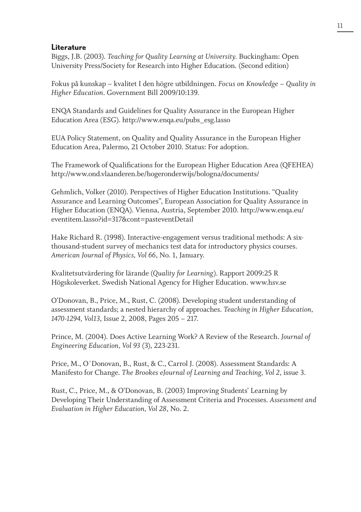#### **Literature**

Biggs, J.B. (2003). *Teaching for Quality Learning at University.* Buckingham: Open University Press/Society for Research into Higher Education. (Second edition)

Fokus på kunskap – kvalitet I den högre utbildningen. *Focus on Knowledge – Quality in Higher Education*. Government Bill 2009/10:139.

ENQA Standards and Guidelines for Quality Assurance in the European Higher Education Area (ESG). http://www.enqa.eu/pubs\_esg.lasso

EUA Policy Statement, on Quality and Quality Assurance in the European Higher Education Area, Palermo, 21 October 2010. Status: For adoption.

The Framework of Qualifications for the European Higher Education Area (QFEHEA) http://www.ond.vlaanderen.be/hogeronderwijs/bologna/documents/

Gehmlich, Volker (2010). Perspectives of Higher Education Institutions. "Quality Assurance and Learning Outcomes", European Association for Quality Assurance in Higher Education (ENQA). Vienna, Austria, September 2010. http://www.enqa.eu/ eventitem.lasso?id=317&cont=pasteventDetail

Hake Richard R. (1998). Interactive-engagement versus traditional methods: A sixthousand-student survey of mechanics test data for introductory physics courses. *American Journal of Physics, Vol 66*, No. 1, January.

Kvalitetsutvärdering för lärande (*Quality for Learning*). Rapport 2009:25 R Högskoleverket. Swedish National Agency for Higher Education. www.hsv.se

O'Donovan, B., Price, M., Rust, C. (2008). Developing student understanding of assessment standards; a nested hierarchy of approaches. *Teaching in Higher Education, 1470-1294, Vol13*, Issue 2, 2008, Pages 205 – 217.

Prince, M. (2004). Does Active Learning Work? A Review of the Research. *Journal of Engineering Education, Vol 93* (3), 223-231.

Price, M., O´Donovan, B., Rust, & C., Carrol J. (2008). Assessment Standards: A Manifesto for Change. *The Brookes eJournal of Learning and Teaching, Vol 2*, issue 3.

Rust, C., Price, M., & O'Donovan, B. (2003) Improving Students' Learning by Developing Their Understanding of Assessment Criteria and Processes. *Assessment and Evaluation in Higher Education, Vol 28*, No. 2.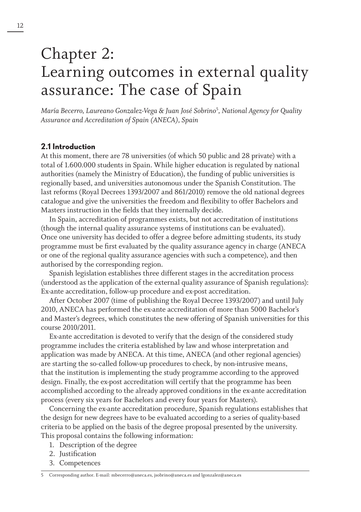## Chapter 2: Learning outcomes in external quality assurance: The case of Spain

*María Becerro, Laureano Gonzalez-Vega & Juan José Sobrino*<sup>5</sup> *, National Agency for Quality Assurance and Accreditation of Spain (ANECA), Spain*

#### **2.1 Introduction**

At this moment, there are 78 universities (of which 50 public and 28 private) with a total of 1.600.000 students in Spain. While higher education is regulated by national authorities (namely the Ministry of Education), the funding of public universities is regionally based, and universities autonomous under the Spanish Constitution. The last reforms (Royal Decrees 1393/2007 and 861/2010) remove the old national degrees catalogue and give the universities the freedom and flexibility to offer Bachelors and Masters instruction in the fields that they internally decide.

In Spain, accreditation of programmes exists, but not accreditation of institutions (though the internal quality assurance systems of institutions can be evaluated). Once one university has decided to offer a degree before admitting students, its study programme must be first evaluated by the quality assurance agency in charge (ANECA or one of the regional quality assurance agencies with such a competence), and then authorised by the corresponding region.

Spanish legislation establishes three different stages in the accreditation process (understood as the application of the external quality assurance of Spanish regulations): Ex-ante accreditation, follow-up procedure and ex-post accreditation.

After October 2007 (time of publishing the Royal Decree 1393/2007) and until July 2010, ANECA has performed the ex-ante accreditation of more than 5000 Bachelor's and Master's degrees, which constitutes the new offering of Spanish universities for this course 2010/2011.

Ex-ante accreditation is devoted to verify that the design of the considered study programme includes the criteria established by law and whose interpretation and application was made by ANECA. At this time, ANECA (and other regional agencies) are starting the so-called follow-up procedures to check, by non-intrusive means, that the institution is implementing the study programme according to the approved design. Finally, the ex-post accreditation will certify that the programme has been accomplished according to the already approved conditions in the ex-ante accreditation process (every six years for Bachelors and every four years for Masters).

Concerning the ex-ante accreditation procedure, Spanish regulations establishes that the design for new degrees have to be evaluated according to a series of quality-based criteria to be applied on the basis of the degree proposal presented by the university. This proposal contains the following information:

- 1. Description of the degree
- 2. Justification
- 3. Competences

<sup>5</sup> Corresponding author. E-mail: mbecerro@aneca.es, jsobrino@aneca.es and lgonzalez@aneca.es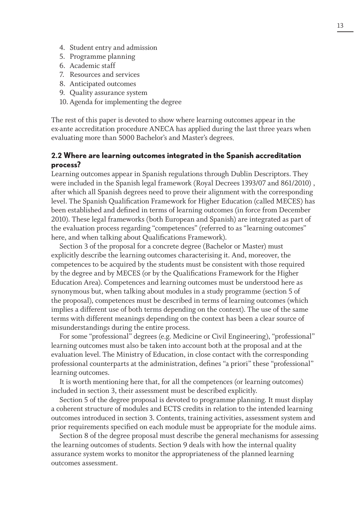- 4. Student entry and admission
- 5. Programme planning
- 6. Academic staff
- 7. Resources and services
- 8. Anticipated outcomes
- 9. Quality assurance system
- 10. Agenda for implementing the degree

The rest of this paper is devoted to show where learning outcomes appear in the ex-ante accreditation procedure ANECA has applied during the last three years when evaluating more than 5000 Bachelor's and Master's degrees.

#### **2.2 Where are learning outcomes integrated in the Spanish accreditation process?**

Learning outcomes appear in Spanish regulations through Dublin Descriptors. They were included in the Spanish legal framework (Royal Decrees 1393/07 and 861/2010) , after which all Spanish degrees need to prove their alignment with the corresponding level. The Spanish Qualification Framework for Higher Education (called MECES) has been established and defined in terms of learning outcomes (in force from December 2010). These legal frameworks (both European and Spanish) are integrated as part of the evaluation process regarding "competences" (referred to as "learning outcomes" here, and when talking about Qualifications Framework).

Section 3 of the proposal for a concrete degree (Bachelor or Master) must explicitly describe the learning outcomes characterising it. And, moreover, the competences to be acquired by the students must be consistent with those required by the degree and by MECES (or by the Qualifications Framework for the Higher Education Area). Competences and learning outcomes must be understood here as synonymous but, when talking about modules in a study programme (section 5 of the proposal), competences must be described in terms of learning outcomes (which implies a different use of both terms depending on the context). The use of the same terms with different meanings depending on the context has been a clear source of misunderstandings during the entire process.

For some "professional" degrees (e.g. Medicine or Civil Engineering), "professional" learning outcomes must also be taken into account both at the proposal and at the evaluation level. The Ministry of Education, in close contact with the corresponding professional counterparts at the administration, defines "a priori" these "professional" learning outcomes.

It is worth mentioning here that, for all the competences (or learning outcomes) included in section 3, their assessment must be described explicitly.

Section 5 of the degree proposal is devoted to programme planning. It must display a coherent structure of modules and ECTS credits in relation to the intended learning outcomes introduced in section 3. Contents, training activities, assessment system and prior requirements specified on each module must be appropriate for the module aims.

Section 8 of the degree proposal must describe the general mechanisms for assessing the learning outcomes of students. Section 9 deals with how the internal quality assurance system works to monitor the appropriateness of the planned learning outcomes assessment.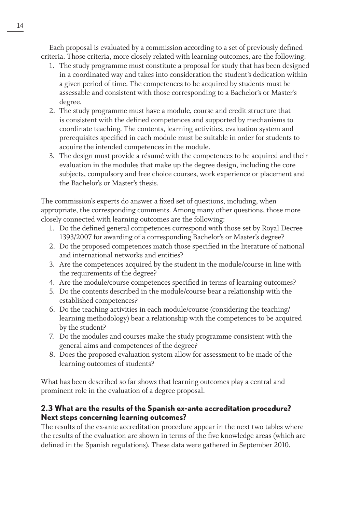Each proposal is evaluated by a commission according to a set of previously defined criteria. Those criteria, more closely related with learning outcomes, are the following:

- 1. The study programme must constitute a proposal for study that has been designed in a coordinated way and takes into consideration the student's dedication within a given period of time. The competences to be acquired by students must be assessable and consistent with those corresponding to a Bachelor's or Master's degree.
- 2. The study programme must have a module, course and credit structure that is consistent with the defined competences and supported by mechanisms to coordinate teaching. The contents, learning activities, evaluation system and prerequisites specified in each module must be suitable in order for students to acquire the intended competences in the module.
- 3. The design must provide a résumé with the competences to be acquired and their evaluation in the modules that make up the degree design, including the core subjects, compulsory and free choice courses, work experience or placement and the Bachelor's or Master's thesis.

The commission's experts do answer a fixed set of questions, including, when appropriate, the corresponding comments. Among many other questions, those more closely connected with learning outcomes are the following:

- 1. Do the defined general competences correspond with those set by Royal Decree 1393/2007 for awarding of a corresponding Bachelor's or Master's degree?
- 2. Do the proposed competences match those specified in the literature of national and international networks and entities?
- 3. Are the competences acquired by the student in the module/course in line with the requirements of the degree?
- 4. Are the module/course competences specified in terms of learning outcomes?
- 5. Do the contents described in the module/course bear a relationship with the established competences?
- 6. Do the teaching activities in each module/course (considering the teaching/ learning methodology) bear a relationship with the competences to be acquired by the student?
- 7. Do the modules and courses make the study programme consistent with the general aims and competences of the degree?
- 8. Does the proposed evaluation system allow for assessment to be made of the learning outcomes of students?

What has been described so far shows that learning outcomes play a central and prominent role in the evaluation of a degree proposal.

## **2.3 What are the results of the Spanish ex-ante accreditation procedure? Next steps concerning learning outcomes?**

The results of the ex-ante accreditation procedure appear in the next two tables where the results of the evaluation are shown in terms of the five knowledge areas (which are defined in the Spanish regulations). These data were gathered in September 2010.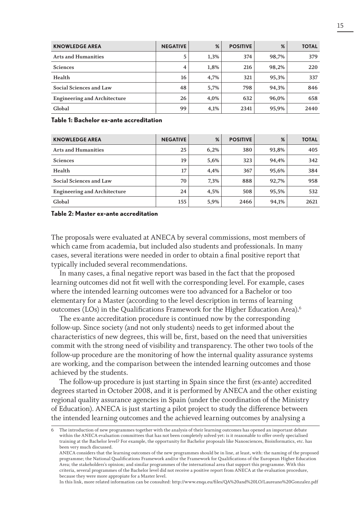| <b>KNOWLEDGE AREA</b>               | <b>NEGATIVE</b> | %    | <b>POSITIVE</b> | %     | <b>TOTAL</b> |
|-------------------------------------|-----------------|------|-----------------|-------|--------------|
| <b>Arts and Humanities</b>          | 5               | 1,3% | 374             | 98.7% | 379          |
| <b>Sciences</b>                     | 4               | 1,8% | 216             | 98,2% | 220          |
| Health                              | 16              | 4,7% | 321             | 95,3% | 337          |
| Social Sciences and Law             | 48              | 5,7% | 798             | 94,3% | 846          |
| <b>Engineering and Architecture</b> | 26              | 4.0% | 632             | 96.0% | 658          |
| Global                              | 99              | 4,1% | 2341            | 95,9% | 2440         |

**Table 1: Bachelor ex-ante accreditation**

| <b>KNOWLEDGE AREA</b>               | <b>NEGATIVE</b> | %    | <b>POSITIVE</b> | %     | <b>TOTAL</b> |
|-------------------------------------|-----------------|------|-----------------|-------|--------------|
| <b>Arts and Humanities</b>          | 25              | 6,2% | 380             | 93,8% | 405          |
| <b>Sciences</b>                     | 19              | 5,6% | 323             | 94.4% | 342          |
| Health                              | 17              | 4,4% | 367             | 95,6% | 384          |
| Social Sciences and Law             | 70              | 7,3% | 888             | 92,7% | 958          |
| <b>Engineering and Architecture</b> | 24              | 4,5% | 508             | 95,5% | 532          |
| Global                              | 155             | 5,9% | 2466            | 94,1% | 2621         |

#### **Table 2: Master ex-ante accreditation**

The proposals were evaluated at ANECA by several commissions, most members of which came from academia, but included also students and professionals. In many cases, several iterations were needed in order to obtain a final positive report that typically included several recommendations.

In many cases, a final negative report was based in the fact that the proposed learning outcomes did not fit well with the corresponding level. For example, cases where the intended learning outcomes were too advanced for a Bachelor or too elementary for a Master (according to the level description in terms of learning outcomes (LOs) in the Qualifications Framework for the Higher Education Area).<sup>6</sup>

The ex-ante accreditation procedure is continued now by the corresponding follow-up. Since society (and not only students) needs to get informed about the characteristics of new degrees, this will be, first, based on the need that universities commit with the strong need of visibility and transparency. The other two tools of the follow-up procedure are the monitoring of how the internal quality assurance systems are working, and the comparison between the intended learning outcomes and those achieved by the students.

The follow-up procedure is just starting in Spain since the first (ex-ante) accredited degrees started in October 2008, and it is performed by ANECA and the other existing regional quality assurance agencies in Spain (under the coordination of the Ministry of Education). ANECA is just starting a pilot project to study the difference between the intended learning outcomes and the achieved learning outcomes by analysing a

In this link, more related information can be consulted: http://www.enqa.eu/files/QA%20and%20LO/Laureano%20Gonzalez.pdf

The introduction of new programmes together with the analysis of their learning outcomes has opened an important debate within the ANECA evaluation committees that has not been completely solved yet: is it reasonable to offer overly specialised training at the Bachelor level? For example, the opportunity for Bachelor proposals like Nanosciences, Bioinformatics, etc. has been very much discussed.

ANECA considers that the learning outcomes of the new programmes should be in line, at least, with: the naming of the proposed programme; the National Qualifications Framework and/or the Framework for Qualifications of the European Higher Education Area; the stakeholders's opinion; and similar programmes of the international area that support this programme. With this criteria, several programmes of the Bachelor level did not receive a positive report from ANECA at the evaluation procedure, because they were more appropiate for a Master level.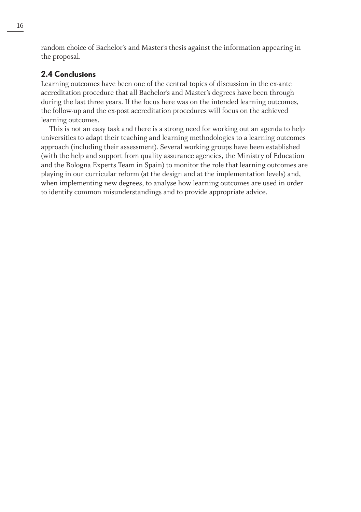random choice of Bachelor's and Master's thesis against the information appearing in the proposal.

#### **2.4 Conclusions**

Learning outcomes have been one of the central topics of discussion in the ex-ante accreditation procedure that all Bachelor's and Master's degrees have been through during the last three years. If the focus here was on the intended learning outcomes, the follow-up and the ex-post accreditation procedures will focus on the achieved learning outcomes.

This is not an easy task and there is a strong need for working out an agenda to help universities to adapt their teaching and learning methodologies to a learning outcomes approach (including their assessment). Several working groups have been established (with the help and support from quality assurance agencies, the Ministry of Education and the Bologna Experts Team in Spain) to monitor the role that learning outcomes are playing in our curricular reform (at the design and at the implementation levels) and, when implementing new degrees, to analyse how learning outcomes are used in order to identify common misunderstandings and to provide appropriate advice.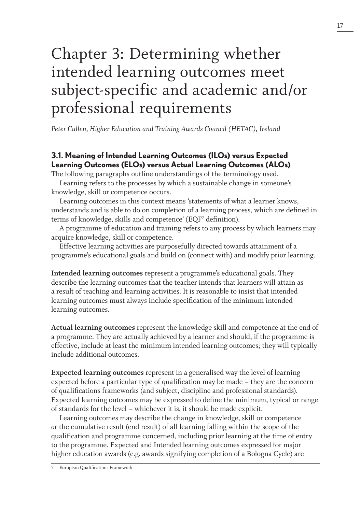## Chapter 3: Determining whether intended learning outcomes meet subject-specific and academic and/or professional requirements

*Peter Cullen, Higher Education and Training Awards Council (HETAC), Ireland*

## **3.1. Meaning of Intended Learning Outcomes (ILOs) versus Expected Learning Outcomes (ELOs) versus Actual Learning Outcomes (ALOs)**

The following paragraphs outline understandings of the terminology used.

Learning refers to the processes by which a sustainable change in someone's knowledge, skill or competence occurs.

Learning outcomes in this context means 'statements of what a learner knows, understands and is able to do on completion of a learning process, which are defined in terms of knowledge, skills and competence' (EQF<sup>7</sup> definition).

A programme of education and training refers to any process by which learners may acquire knowledge, skill or competence.

Effective learning activities are purposefully directed towards attainment of a programme's educational goals and build on (connect with) and modify prior learning.

**Intended learning outcomes** represent a programme's educational goals. They describe the learning outcomes that the teacher intends that learners will attain as a result of teaching and learning activities. It is reasonable to insist that intended learning outcomes must always include specification of the minimum intended learning outcomes.

**Actual learning outcomes** represent the knowledge skill and competence at the end of a programme. They are actually achieved by a learner and should, if the programme is effective, include at least the minimum intended learning outcomes; they will typically include additional outcomes.

**Expected learning outcomes** represent in a generalised way the level of learning expected before a particular type of qualification may be made – they are the concern of qualifications frameworks (and subject, discipline and professional standards). Expected learning outcomes may be expressed to define the minimum, typical or range of standards for the level – whichever it is, it should be made explicit.

Learning outcomes may describe the change in knowledge, skill or competence *or* the cumulative result (end result) of all learning falling within the scope of the qualification and programme concerned, including prior learning at the time of entry to the programme. Expected and Intended learning outcomes expressed for major higher education awards (e.g. awards signifying completion of a Bologna Cycle) are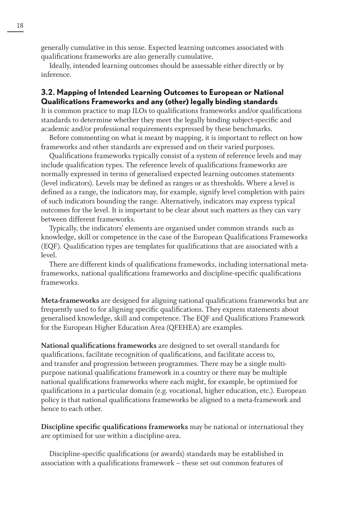generally cumulative in this sense. Expected learning outcomes associated with qualifications frameworks are also generally cumulative.

Ideally, intended learning outcomes should be assessable either directly or by inference.

#### **3.2. Mapping of Intended Learning Outcomes to European or National Qualifications Frameworks and any (other) legally binding standards**

It is common practice to map ILOs to qualifications frameworks and/or qualifications standards to determine whether they meet the legally binding subject-specific and academic and/or professional requirements expressed by these benchmarks.

Before commenting on what is meant by mapping, it is important to reflect on how frameworks and other standards are expressed and on their varied purposes.

Qualifications frameworks typically consist of a system of reference levels and may include qualification types. The reference levels of qualifications frameworks are normally expressed in terms of generalised expected learning outcomes statements (level indicators). Levels may be defined as ranges or as thresholds. Where a level is defined as a range, the indicators may, for example, signify level completion with pairs of such indicators bounding the range. Alternatively, indicators may express typical outcomes for the level. It is important to be clear about such matters as they can vary between different frameworks.

Typically, the indicators' elements are organised under common strands such as knowledge, skill or competence in the case of the European Qualifications Frameworks (EQF). Qualification types are templates for qualifications that are associated with a level.

There are different kinds of qualifications frameworks, including international metaframeworks, national qualifications frameworks and discipline-specific qualifications frameworks.

**Meta-frameworks** are designed for aligning national qualifications frameworks but are frequently used to for aligning specific qualifications. They express statements about generalised knowledge, skill and competence. The EQF and Qualifications Framework for the European Higher Education Area (QFEHEA) are examples.

**National qualifications frameworks** are designed to set overall standards for qualifications, facilitate recognition of qualifications, and facilitate access to, and transfer and progression between programmes. There may be a single multipurpose national qualifications framework in a country or there may be multiple national qualifications frameworks where each might, for example, be optimised for qualifications in a particular domain (e.g. vocational, higher education, etc.). European policy is that national qualifications frameworks be aligned to a meta-framework and hence to each other.

**Discipline specific qualifications frameworks** may be national or international they are optimised for use within a discipline-area.

Discipline-specific qualifications (or awards) standards may be established in association with a qualifications framework – these set out common features of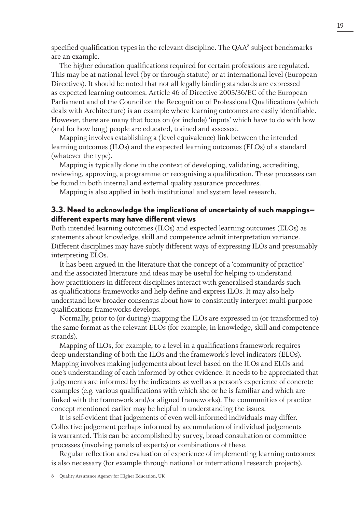specified qualification types in the relevant discipline. The QAA<sup>8</sup> subject benchmarks are an example.

The higher education qualifications required for certain professions are regulated. This may be at national level (by or through statute) or at international level (European Directives). It should be noted that not all legally binding standards are expressed as expected learning outcomes. Article 46 of Directive 2005/36/EC of the European Parliament and of the Council on the Recognition of Professional Qualifications (which deals with Architecture) is an example where learning outcomes are easily identifiable. However, there are many that focus on (or include) 'inputs' which have to do with how (and for how long) people are educated, trained and assessed.

Mapping involves establishing a (level equivalence) link between the intended learning outcomes (ILOs) and the expected learning outcomes (ELOs) of a standard (whatever the type).

Mapping is typically done in the context of developing, validating, accrediting, reviewing, approving, a programme or recognising a qualification. These processes can be found in both internal and external quality assurance procedures.

Mapping is also applied in both institutional and system level research.

#### **3.3. Need to acknowledge the implications of uncertainty of such mappings different experts may have different views**

Both intended learning outcomes (ILOs) and expected learning outcomes (ELOs) as statements about knowledge, skill and competence admit interpretation variance. Different disciplines may have subtly different ways of expressing ILOs and presumably interpreting ELOs.

It has been argued in the literature that the concept of a 'community of practice' and the associated literature and ideas may be useful for helping to understand how practitioners in different disciplines interact with generalised standards such as qualifications frameworks and help define and express ILOs. It may also help understand how broader consensus about how to consistently interpret multi-purpose qualifications frameworks develops.

Normally, prior to (or during) mapping the ILOs are expressed in (or transformed to) the same format as the relevant ELOs (for example, in knowledge, skill and competence strands).

Mapping of ILOs, for example, to a level in a qualifications framework requires deep understanding of both the ILOs and the framework's level indicators (ELOs). Mapping involves making judgements about level based on the ILOs and ELOs and one's understanding of each informed by other evidence. It needs to be appreciated that judgements are informed by the indicators as well as a person's experience of concrete examples (e.g. various qualifications with which she or he is familiar and which are linked with the framework and/or aligned frameworks). The communities of practice concept mentioned earlier may be helpful in understanding the issues.

It is self-evident that judgements of even well-informed individuals may differ. Collective judgement perhaps informed by accumulation of individual judgements is warranted. This can be accomplished by survey, broad consultation or committee processes (involving panels of experts) or combinations of these.

Regular reflection and evaluation of experience of implementing learning outcomes is also necessary (for example through national or international research projects).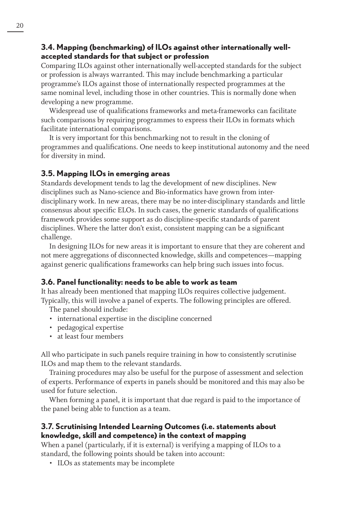#### **3.4. Mapping (benchmarking) of ILOs against other internationally wellaccepted standards for that subject or profession**

Comparing ILOs against other internationally well-accepted standards for the subject or profession is always warranted. This may include benchmarking a particular programme's ILOs against those of internationally respected programmes at the same nominal level, including those in other countries. This is normally done when developing a new programme.

Widespread use of qualifications frameworks and meta-frameworks can facilitate such comparisons by requiring programmes to express their ILOs in formats which facilitate international comparisons.

It is very important for this benchmarking not to result in the cloning of programmes and qualifications. One needs to keep institutional autonomy and the need for diversity in mind.

#### **3.5. Mapping ILOs in emerging areas**

Standards development tends to lag the development of new disciplines. New disciplines such as Nano-science and Bio-informatics have grown from interdisciplinary work. In new areas, there may be no inter-disciplinary standards and little consensus about specific ELOs. In such cases, the generic standards of qualifications framework provides some support as do discipline-specific standards of parent disciplines. Where the latter don't exist, consistent mapping can be a significant challenge.

In designing ILOs for new areas it is important to ensure that they are coherent and not mere aggregations of disconnected knowledge, skills and competences—mapping against generic qualifications frameworks can help bring such issues into focus.

### **3.6. Panel functionality: needs to be able to work as team**

It has already been mentioned that mapping ILOs requires collective judgement. Typically, this will involve a panel of experts. The following principles are offered.

The panel should include:

- international expertise in the discipline concerned
- pedagogical expertise
- at least four members

All who participate in such panels require training in how to consistently scrutinise ILOs and map them to the relevant standards.

Training procedures may also be useful for the purpose of assessment and selection of experts. Performance of experts in panels should be monitored and this may also be used for future selection.

When forming a panel, it is important that due regard is paid to the importance of the panel being able to function as a team.

### **3.7. Scrutinising Intended Learning Outcomes (i.e. statements about knowledge, skill and competence) in the context of mapping**

When a panel (particularly, if it is external) is verifying a mapping of ILOs to a standard, the following points should be taken into account:

• ILOs as statements may be incomplete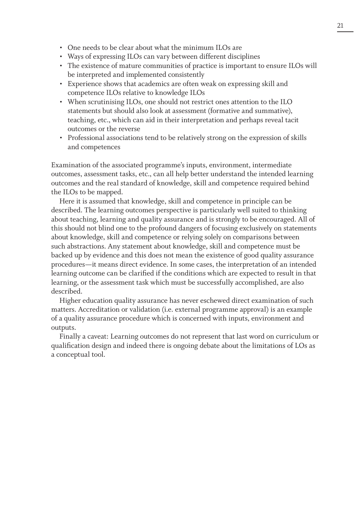- One needs to be clear about what the minimum ILOs are
- Ways of expressing ILOs can vary between different disciplines
- The existence of mature communities of practice is important to ensure ILOs will be interpreted and implemented consistently
- Experience shows that academics are often weak on expressing skill and competence ILOs relative to knowledge ILOs
- When scrutinising ILOs, one should not restrict ones attention to the ILO statements but should also look at assessment (formative and summative), teaching, etc., which can aid in their interpretation and perhaps reveal tacit outcomes or the reverse
- Professional associations tend to be relatively strong on the expression of skills and competences

Examination of the associated programme's inputs, environment, intermediate outcomes, assessment tasks, etc., can all help better understand the intended learning outcomes and the real standard of knowledge, skill and competence required behind the ILOs to be mapped.

Here it is assumed that knowledge, skill and competence in principle can be described. The learning outcomes perspective is particularly well suited to thinking about teaching, learning and quality assurance and is strongly to be encouraged. All of this should not blind one to the profound dangers of focusing exclusively on statements about knowledge, skill and competence or relying solely on comparisons between such abstractions. Any statement about knowledge, skill and competence must be backed up by evidence and this does not mean the existence of good quality assurance procedures—it means direct evidence. In some cases, the interpretation of an intended learning outcome can be clarified if the conditions which are expected to result in that learning, or the assessment task which must be successfully accomplished, are also described.

Higher education quality assurance has never eschewed direct examination of such matters. Accreditation or validation (i.e. external programme approval) is an example of a quality assurance procedure which is concerned with inputs, environment and outputs.

Finally a caveat: Learning outcomes do not represent that last word on curriculum or qualification design and indeed there is ongoing debate about the limitations of LOs as a conceptual tool.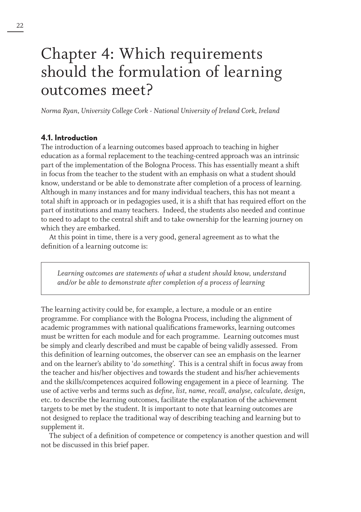## Chapter 4: Which requirements should the formulation of learning outcomes meet?

*Norma Ryan, University College Cork - National University of Ireland Cork, Ireland*

#### **4.1. Introduction**

The introduction of a learning outcomes based approach to teaching in higher education as a formal replacement to the teaching-centred approach was an intrinsic part of the implementation of the Bologna Process. This has essentially meant a shift in focus from the teacher to the student with an emphasis on what a student should know, understand or be able to demonstrate after completion of a process of learning. Although in many instances and for many individual teachers, this has not meant a total shift in approach or in pedagogies used, it is a shift that has required effort on the part of institutions and many teachers. Indeed, the students also needed and continue to need to adapt to the central shift and to take ownership for the learning journey on which they are embarked.

At this point in time, there is a very good, general agreement as to what the definition of a learning outcome is:

*Learning outcomes are statements of what a student should know, understand and/or be able to demonstrate after completion of a process of learning*

The learning activity could be, for example, a lecture, a module or an entire programme. For compliance with the Bologna Process, including the alignment of academic programmes with national qualifications frameworks, learning outcomes must be written for each module and for each programme. Learning outcomes must be simply and clearly described and must be capable of being validly assessed. From this definition of learning outcomes, the observer can see an emphasis on the learner and on the learner's ability to '*do something*'. This is a central shift in focus away from the teacher and his/her objectives and towards the student and his/her achievements and the skills/competences acquired following engagement in a piece of learning. The use of active verbs and terms such as *define, list, name, recall, analyse, calculate, design*, etc. to describe the learning outcomes, facilitate the explanation of the achievement targets to be met by the student. It is important to note that learning outcomes are not designed to replace the traditional way of describing teaching and learning but to supplement it.

The subject of a definition of competence or competency is another question and will not be discussed in this brief paper.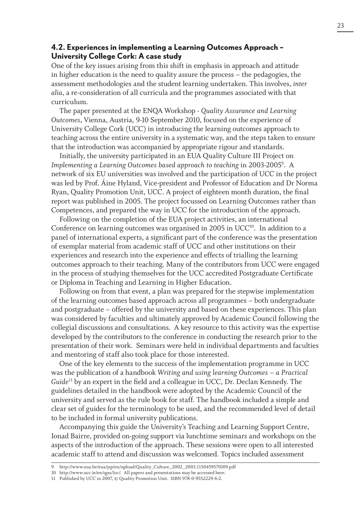#### **4.2. Experiences in implementing a Learning Outcomes Approach – University College Cork: A case study**

One of the key issues arising from this shift in emphasis in approach and attitude in higher education is the need to quality assure the process – the pedagogies, the assessment methodologies and the student learning undertaken. This involves, *inter alia*, a re-consideration of all curricula and the programmes associated with that curriculum.

The paper presented at the ENQA Workshop - *Quality Assurance and Learning Outcomes*, Vienna, Austria, 9-10 September 2010, focused on the experience of University College Cork (UCC) in introducing the learning outcomes approach to teaching across the entire university in a systematic way, and the steps taken to ensure that the introduction was accompanied by appropriate rigour and standards.

Initially, the university participated in an EUA Quality Culture III Project on *Implementing a Learning Outcomes based approach to teaching* in 2003-20059 . A network of six EU universities was involved and the participation of UCC in the project was led by Prof. Áine Hyland, Vice-president and Professor of Education and Dr Norma Ryan, Quality Promotion Unit, UCC. A project of eighteen month duration, the final report was published in 2005. The project focussed on Learning Outcomes rather than Competences, and prepared the way in UCC for the introduction of the approach.

Following on the completion of the EUA project activities, an international Conference on learning outcomes was organised in 2005 in UCC<sup>10</sup>. In addition to a panel of international experts, a significant part of the conference was the presentation of exemplar material from academic staff of UCC and other institutions on their experiences and research into the experience and effects of trialling the learning outcomes approach to their teaching. Many of the contributors from UCC were engaged in the process of studying themselves for the UCC accredited Postgraduate Certificate or Diploma in Teaching and Learning in Higher Education.

Following on from that event, a plan was prepared for the stepwise implementation of the learning outcomes based approach across all programmes – both undergraduate and postgraduate – offered by the university and based on these experiences. This plan was considered by faculties and ultimately approved by Academic Council following the collegial discussions and consultations. A key resource to this activity was the expertise developed by the contributors to the conference in conducting the research prior to the presentation of their work. Seminars were held in individual departments and faculties and mentoring of staff also took place for those interested.

One of the key elements to the success of the implementation programme in UCC was the publication of a handbook *Writing and using learning Outcomes – a Practical Guide*11 by an expert in the field and a colleague in UCC, Dr. Declan Kennedy. The guidelines detailed in the handbook were adopted by the Academic Council of the university and served as the rule book for staff. The handbook included a simple and clear set of guides for the terminology to be used, and the recommended level of detail to be included in formal university publications.

Accompanying this guide the University's Teaching and Learning Support Centre, Ionad Bairre, provided on-going support via lunchtime seminars and workshops on the aspects of the introduction of the approach. These sessions were open to all interested academic staff to attend and discussion was welcomed. Topics included assessment

<sup>9</sup> http://www.eua.be/eua/jsp/en/upload/Quality\_Culture\_2002\_2003.1150459570109.pdf

<sup>10</sup> http://www.ucc.ie/en/qpu/loc/. All papers and presentations may be accessed here.

<sup>11</sup> Published by UCC in 2007, © Quality Promotion Unit. ISBN 978-0-9552229-6-2.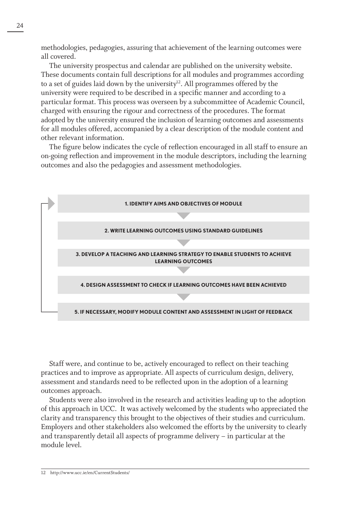methodologies, pedagogies, assuring that achievement of the learning outcomes were all covered.

The university prospectus and calendar are published on the university website. These documents contain full descriptions for all modules and programmes according to a set of guides laid down by the university<sup>12</sup>. All programmes offered by the university were required to be described in a specific manner and according to a particular format. This process was overseen by a subcommittee of Academic Council, charged with ensuring the rigour and correctness of the procedures. The format adopted by the university ensured the inclusion of learning outcomes and assessments for all modules offered, accompanied by a clear description of the module content and other relevant information.

The figure below indicates the cycle of reflection encouraged in all staff to ensure an on-going reflection and improvement in the module descriptors, including the learning outcomes and also the pedagogies and assessment methodologies.



Staff were, and continue to be, actively encouraged to reflect on their teaching practices and to improve as appropriate. All aspects of curriculum design, delivery, assessment and standards need to be reflected upon in the adoption of a learning outcomes approach.

Students were also involved in the research and activities leading up to the adoption of this approach in UCC. It was actively welcomed by the students who appreciated the clarity and transparency this brought to the objectives of their studies and curriculum. Employers and other stakeholders also welcomed the efforts by the university to clearly and transparently detail all aspects of programme delivery – in particular at the module level.

<sup>12</sup> http://www.ucc.ie/en/CurrentStudents/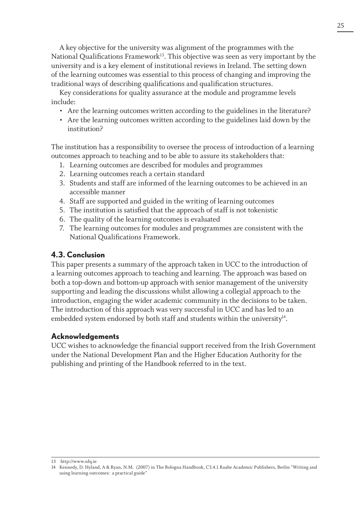A key objective for the university was alignment of the programmes with the National Qualifications Framework<sup>13</sup>. This objective was seen as very important by the university and is a key element of institutional reviews in Ireland. The setting down of the learning outcomes was essential to this process of changing and improving the traditional ways of describing qualifications and qualification structures.

Key considerations for quality assurance at the module and programme levels include:

- Are the learning outcomes written according to the guidelines in the literature?
- Are the learning outcomes written according to the guidelines laid down by the institution?

The institution has a responsibility to oversee the process of introduction of a learning outcomes approach to teaching and to be able to assure its stakeholders that:

- 1. Learning outcomes are described for modules and programmes
- 2. Learning outcomes reach a certain standard
- 3. Students and staff are informed of the learning outcomes to be achieved in an accessible manner
- 4. Staff are supported and guided in the writing of learning outcomes
- 5. The institution is satisfied that the approach of staff is not tokenistic
- 6. The quality of the learning outcomes is evaluated
- 7. The learning outcomes for modules and programmes are consistent with the National Qualifications Framework.

### **4.3. Conclusion**

This paper presents a summary of the approach taken in UCC to the introduction of a learning outcomes approach to teaching and learning. The approach was based on both a top-down and bottom-up approach with senior management of the university supporting and leading the discussions whilst allowing a collegial approach to the introduction, engaging the wider academic community in the decisions to be taken. The introduction of this approach was very successful in UCC and has led to an embedded system endorsed by both staff and students within the university $4^4$ .

### **Acknowledgements**

UCC wishes to acknowledge the financial support received from the Irish Government under the National Development Plan and the Higher Education Authority for the publishing and printing of the Handbook referred to in the text.

13 http://www.nfq.ie

<sup>14</sup> Kennedy, D. Hyland, A & Ryan, N.M. (2007) in The Bologna Handbook, C3.4.1 Raabe Academic Publishers, Berlin "Writing and using learning outcomes: a practical guide"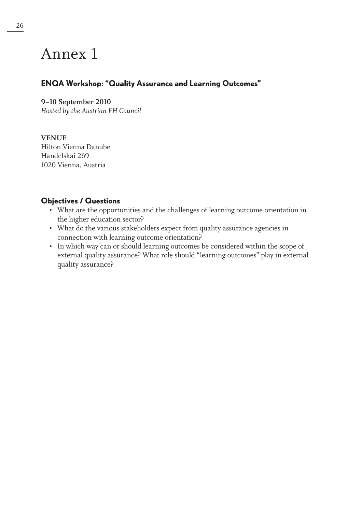## Annex 1

## **ENQA Workshop: "Quality Assurance and Learning Outcomes"**

#### **9–10 September 2010**

*Hosted by the Austrian FH Council*

#### **VENUE**

Hilton Vienna Danube Handelskai 269 1020 Vienna, Austria

### **Objectives / Questions**

- What are the opportunities and the challenges of learning outcome orientation in the higher education sector?
- What do the various stakeholders expect from quality assurance agencies in connection with learning outcome orientation?
- In which way can or should learning outcomes be considered within the scope of external quality assurance? What role should "learning outcomes" play in external quality assurance?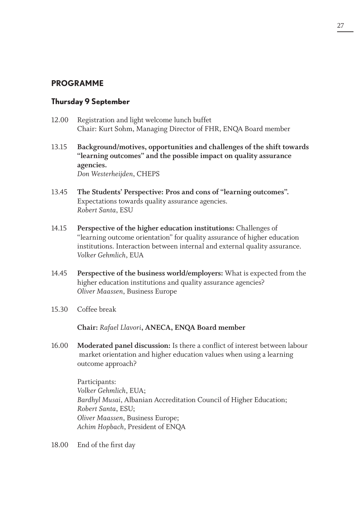### **PROGRAMME**

#### **Thursday 9 September**

- 12.00 Registration and light welcome lunch buffet Chair: Kurt Sohm, Managing Director of FHR, ENQA Board member
- 13.15 **Background/motives, opportunities and challenges of the shift towards "learning outcomes" and the possible impact on quality assurance agencies.** *Don Westerheijden*, CHEPS
- 13.45 **The Students' Perspective: Pros and cons of "learning outcomes".** Expectations towards quality assurance agencies. *Robert Santa*, ESU
- 14.15 **Perspective of the higher education institutions:** Challenges of "learning outcome orientation" for quality assurance of higher education institutions. Interaction between internal and external quality assurance. *Volker Gehmlich*, EUA
- 14.45 **Perspective of the business world/employers:** What is expected from the higher education institutions and quality assurance agencies? *Oliver Maassen*, Business Europe
- 15.30 Coffee break

**Chair:** *Rafael Llavori***, ANECA, ENQA Board member**

16.00 **Moderated panel discussion:** Is there a conflict of interest between labour market orientation and higher education values when using a learning outcome approach?

> Participants: *Volker Gehmlich*, EUA; *Bardhyl Musai*, Albanian Accreditation Council of Higher Education; *Robert Santa*, ESU; *Oliver Maassen*, Business Europe; *Achim Hopbach*, President of ENQA

18.00 End of the first day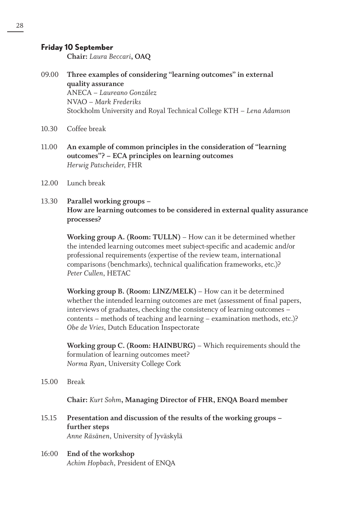#### **Friday 10 September**

**Chair:** *Laura Beccari***, OAQ**

- 09.00 **Three examples of considering "learning outcomes" in external quality assurance** ANECA – *Laureano González* NVAO – *Mark Frederiks* Stockholm University and Royal Technical College KTH – *Lena Adamson*
- 10.30 Coffee break
- 11.00 **An example of common principles in the consideration of "learning outcomes"? – ECA principles on learning outcomes** *Herwig Patscheider*, FHR
- 12.00 Lunch break
- 13.30 **Parallel working groups How are learning outcomes to be considered in external quality assurance processes?**

**Working group A. (Room: TULLN)** – How can it be determined whether the intended learning outcomes meet subject-specific and academic and/or professional requirements (expertise of the review team, international comparisons (benchmarks), technical qualification frameworks, etc.)? *Peter Cullen*, HETAC

**Working group B. (Room: LINZ/MELK)** – How can it be determined whether the intended learning outcomes are met (assessment of final papers, interviews of graduates, checking the consistency of learning outcomes – contents – methods of teaching and learning – examination methods, etc.)? *Obe de Vries*, Dutch Education Inspectorate

**Working group C. (Room: HAINBURG)** – Which requirements should the formulation of learning outcomes meet? *Norma Ryan*, University College Cork

15.00 Break

**Chair:** *Kurt Sohm***, Managing Director of FHR, ENQA Board member**

- 15.15 **Presentation and discussion of the results of the working groups further steps** *Anne Räsänen*, University of Jyväskylä
- 16:00 **End of the workshop** *Achim Hopbach*, President of ENQA